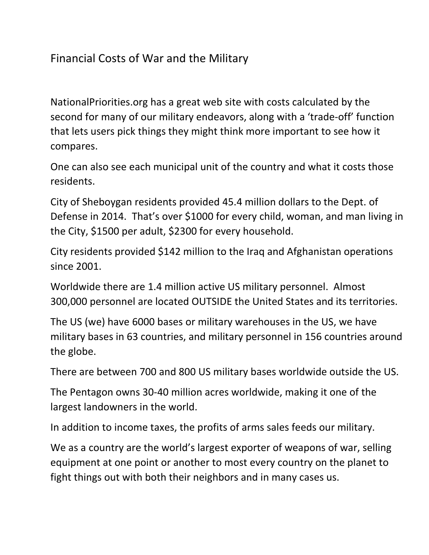## Financial Costs of War and the Military

NationalPriorities.org has a great web site with costs calculated by the second for many of our military endeavors, along with a 'trade-off' function that lets users pick things they might think more important to see how it compares.

One can also see each municipal unit of the country and what it costs those residents.

City of Sheboygan residents provided 45.4 million dollars to the Dept. of Defense in 2014. That's over \$1000 for every child, woman, and man living in the City, \$1500 per adult, \$2300 for every household.

City residents provided \$142 million to the Iraq and Afghanistan operations since 2001.

Worldwide there are 1.4 million active US military personnel. Almost 300,000 personnel are located OUTSIDE the United States and its territories.

The US (we) have 6000 bases or military warehouses in the US, we have military bases in 63 countries, and military personnel in 156 countries around the globe.

There are between 700 and 800 US military bases worldwide outside the US.

The Pentagon owns 30-40 million acres worldwide, making it one of the largest landowners in the world.

In addition to income taxes, the profits of arms sales feeds our military.

We as a country are the world's largest exporter of weapons of war, selling equipment at one point or another to most every country on the planet to fight things out with both their neighbors and in many cases us.